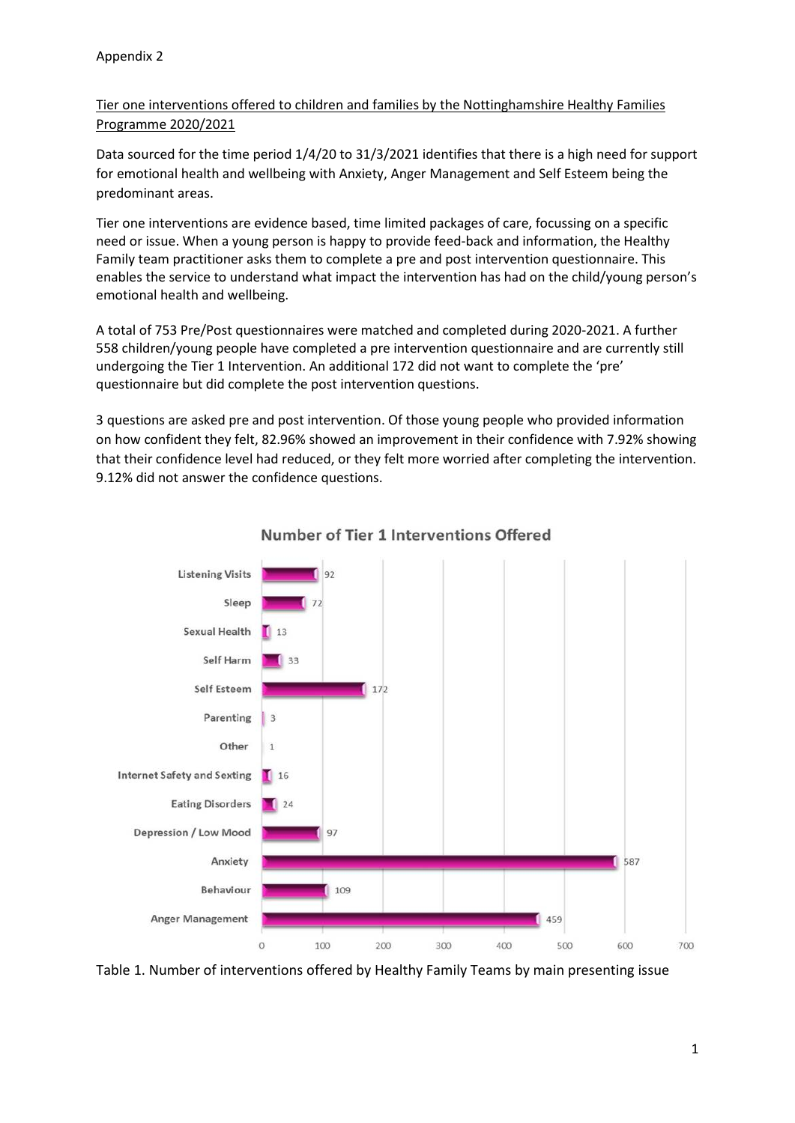Tier one interventions offered to children and families by the Nottinghamshire Healthy Families Programme 2020/2021

Data sourced for the time period 1/4/20 to 31/3/2021 identifies that there is a high need for support for emotional health and wellbeing with Anxiety, Anger Management and Self Esteem being the predominant areas.

Tier one interventions are evidence based, time limited packages of care, focussing on a specific need or issue. When a young person is happy to provide feed-back and information, the Healthy Family team practitioner asks them to complete a pre and post intervention questionnaire. This enables the service to understand what impact the intervention has had on the child/young person's emotional health and wellbeing.

A total of 753 Pre/Post questionnaires were matched and completed during 2020-2021. A further 558 children/young people have completed a pre intervention questionnaire and are currently still undergoing the Tier 1 Intervention. An additional 172 did not want to complete the 'pre' questionnaire but did complete the post intervention questions.

3 questions are asked pre and post intervention. Of those young people who provided information on how confident they felt, 82.96% showed an improvement in their confidence with 7.92% showing that their confidence level had reduced, or they felt more worried after completing the intervention. 9.12% did not answer the confidence questions.



## Number of Tier 1 Interventions Offered

Table 1. Number of interventions offered by Healthy Family Teams by main presenting issue